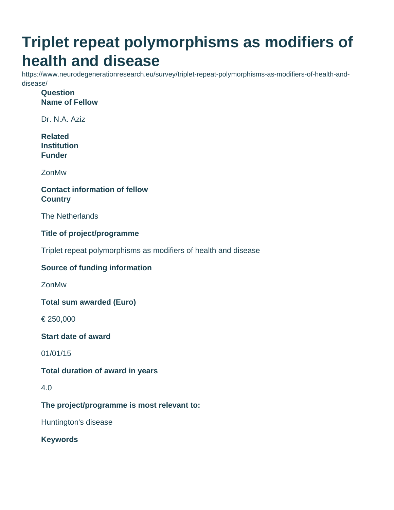# **Triplet repeat polymorphisms as modifiers of health and disease**

https://www.neurodegenerationresearch.eu/survey/triplet-repeat-polymorphisms-as-modifiers-of-health-anddisease/

**Question Name of Fellow**

Dr. N.A. Aziz

**Related Institution Funder**

ZonMw

### **Contact information of fellow Country**

The Netherlands

### **Title of project/programme**

Triplet repeat polymorphisms as modifiers of health and disease

### **Source of funding information**

ZonMw

**Total sum awarded (Euro)**

€ 250,000

**Start date of award**

01/01/15

### **Total duration of award in years**

#### 4.0

**The project/programme is most relevant to:**

Huntington's disease

**Keywords**